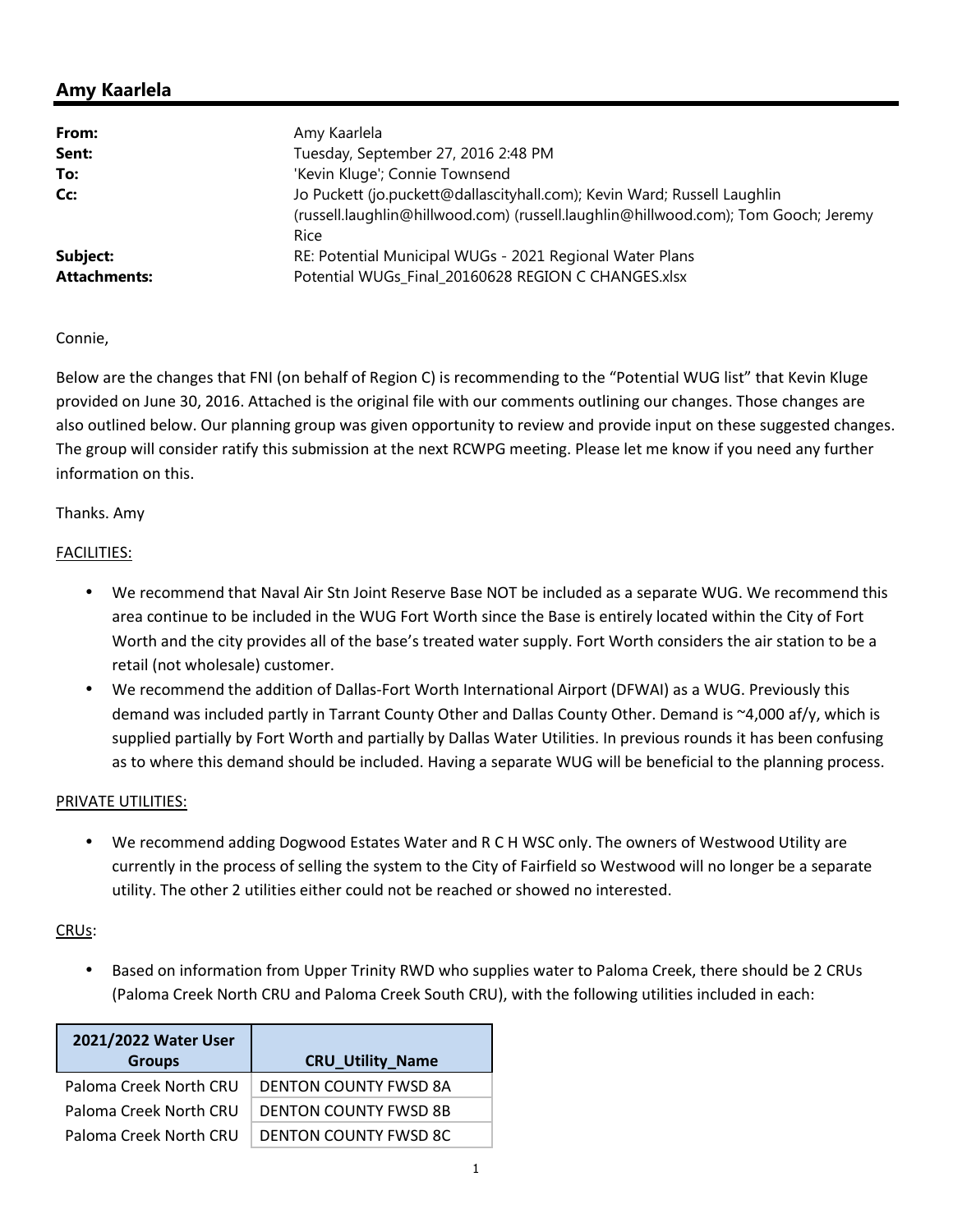# **Amy Kaarlela**

| From:               | Amy Kaarlela                                                                       |  |
|---------------------|------------------------------------------------------------------------------------|--|
| Sent:               | Tuesday, September 27, 2016 2:48 PM                                                |  |
| To:                 | 'Kevin Kluge'; Connie Townsend                                                     |  |
| Cc:                 | Jo Puckett (jo.puckett@dallascityhall.com); Kevin Ward; Russell Laughlin           |  |
|                     | (russell.laughlin@hillwood.com) (russell.laughlin@hillwood.com); Tom Gooch; Jeremy |  |
|                     | Rice                                                                               |  |
| Subject:            | RE: Potential Municipal WUGs - 2021 Regional Water Plans                           |  |
| <b>Attachments:</b> | Potential WUGs Final 20160628 REGION C CHANGES.xlsx                                |  |

### Connie,

Below are the changes that FNI (on behalf of Region C) is recommending to the "Potential WUG list" that Kevin Kluge provided on June 30, 2016. Attached is the original file with our comments outlining our changes. Those changes are also outlined below. Our planning group was given opportunity to review and provide input on these suggested changes. The group will consider ratify this submission at the next RCWPG meeting. Please let me know if you need any further information on this.

### Thanks. Amy

### FACILITIES:

- We recommend that Naval Air Stn Joint Reserve Base NOT be included as a separate WUG. We recommend this area continue to be included in the WUG Fort Worth since the Base is entirely located within the City of Fort Worth and the city provides all of the base's treated water supply. Fort Worth considers the air station to be a retail (not wholesale) customer.
- We recommend the addition of Dallas-Fort Worth International Airport (DFWAI) as a WUG. Previously this demand was included partly in Tarrant County Other and Dallas County Other. Demand is ~4,000 af/y, which is supplied partially by Fort Worth and partially by Dallas Water Utilities. In previous rounds it has been confusing as to where this demand should be included. Having a separate WUG will be beneficial to the planning process.

#### PRIVATE UTILITIES:

• We recommend adding Dogwood Estates Water and R C H WSC only. The owners of Westwood Utility are currently in the process of selling the system to the City of Fairfield so Westwood will no longer be a separate utility. The other 2 utilities either could not be reached or showed no interested.

# CRUs:

• Based on information from Upper Trinity RWD who supplies water to Paloma Creek, there should be 2 CRUs (Paloma Creek North CRU and Paloma Creek South CRU), with the following utilities included in each:

| 2021/2022 Water User   |                              |
|------------------------|------------------------------|
| <b>Groups</b>          | <b>CRU_Utility_Name</b>      |
| Paloma Creek North CRU | <b>DENTON COUNTY FWSD 8A</b> |
| Paloma Creek North CRU | <b>DENTON COUNTY FWSD 8B</b> |
| Paloma Creek North CRU | <b>DENTON COUNTY FWSD 8C</b> |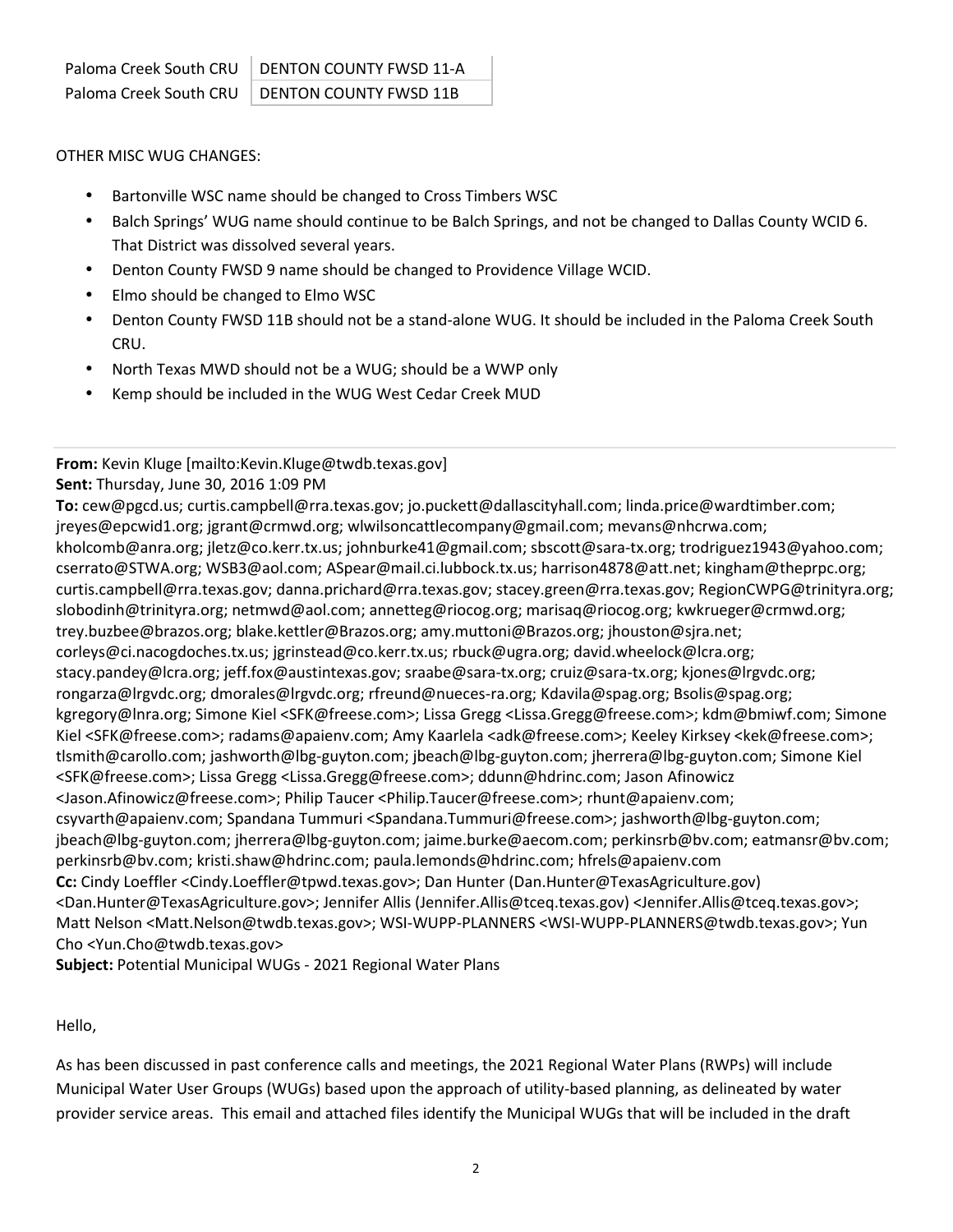# OTHER MISC WUG CHANGES:

- Bartonville WSC name should be changed to Cross Timbers WSC
- Balch Springs' WUG name should continue to be Balch Springs, and not be changed to Dallas County WCID 6. That District was dissolved several years.
- Denton County FWSD 9 name should be changed to Providence Village WCID.
- Elmo should be changed to Elmo WSC
- Denton County FWSD 11B should not be a stand-alone WUG. It should be included in the Paloma Creek South CRU.
- North Texas MWD should not be a WUG; should be a WWP only
- Kemp should be included in the WUG West Cedar Creek MUD

## **From:** Kevin Kluge [mailto:Kevin.Kluge@twdb.texas.gov] **Sent:** Thursday, June 30, 2016 1:09 PM

**To:** cew@pgcd.us; curtis.campbell@rra.texas.gov; jo.puckett@dallascityhall.com; linda.price@wardtimber.com; jreyes@epcwid1.org; jgrant@crmwd.org; wlwilsoncattlecompany@gmail.com; mevans@nhcrwa.com; kholcomb@anra.org; jletz@co.kerr.tx.us; johnburke41@gmail.com; sbscott@sara-tx.org; trodriguez1943@yahoo.com; cserrato@STWA.org; WSB3@aol.com; ASpear@mail.ci.lubbock.tx.us; harrison4878@att.net; kingham@theprpc.org; curtis.campbell@rra.texas.gov; danna.prichard@rra.texas.gov; stacey.green@rra.texas.gov; RegionCWPG@trinityra.org; slobodinh@trinityra.org; netmwd@aol.com; annetteg@riocog.org; marisaq@riocog.org; kwkrueger@crmwd.org; trey.buzbee@brazos.org; blake.kettler@Brazos.org; amy.muttoni@Brazos.org; jhouston@sjra.net; corleys@ci.nacogdoches.tx.us; jgrinstead@co.kerr.tx.us; rbuck@ugra.org; david.wheelock@lcra.org; stacy.pandey@lcra.org; jeff.fox@austintexas.gov; sraabe@sara-tx.org; cruiz@sara-tx.org; kjones@lrgvdc.org; rongarza@lrgvdc.org; dmorales@lrgvdc.org; rfreund@nueces-ra.org; Kdavila@spag.org; Bsolis@spag.org; kgregory@lnra.org; Simone Kiel <SFK@freese.com>; Lissa Gregg <Lissa.Gregg@freese.com>; kdm@bmiwf.com; Simone Kiel <SFK@freese.com>; radams@apaienv.com; Amy Kaarlela <adk@freese.com>; Keeley Kirksey <kek@freese.com>; tlsmith@carollo.com; jashworth@lbg-guyton.com; jbeach@lbg-guyton.com; jherrera@lbg-guyton.com; Simone Kiel <SFK@freese.com>; Lissa Gregg <Lissa.Gregg@freese.com>; ddunn@hdrinc.com; Jason Afinowicz <Jason.Afinowicz@freese.com>; Philip Taucer <Philip.Taucer@freese.com>; rhunt@apaienv.com; csyvarth@apaienv.com; Spandana Tummuri <Spandana.Tummuri@freese.com>; jashworth@lbg-guyton.com; jbeach@lbg-guyton.com; jherrera@lbg-guyton.com; jaime.burke@aecom.com; perkinsrb@bv.com; eatmansr@bv.com; perkinsrb@bv.com; kristi.shaw@hdrinc.com; paula.lemonds@hdrinc.com; hfrels@apaienv.com **Cc:** Cindy Loeffler <Cindy.Loeffler@tpwd.texas.gov>; Dan Hunter (Dan.Hunter@TexasAgriculture.gov) <Dan.Hunter@TexasAgriculture.gov>; Jennifer Allis (Jennifer.Allis@tceq.texas.gov) <Jennifer.Allis@tceq.texas.gov>; Matt Nelson <Matt.Nelson@twdb.texas.gov>; WSI-WUPP-PLANNERS <WSI-WUPP-PLANNERS@twdb.texas.gov>; Yun Cho <Yun.Cho@twdb.texas.gov>

**Subject:** Potential Municipal WUGs - 2021 Regional Water Plans

# Hello,

As has been discussed in past conference calls and meetings, the 2021 Regional Water Plans (RWPs) will include Municipal Water User Groups (WUGs) based upon the approach of utility-based planning, as delineated by water provider service areas. This email and attached files identify the Municipal WUGs that will be included in the draft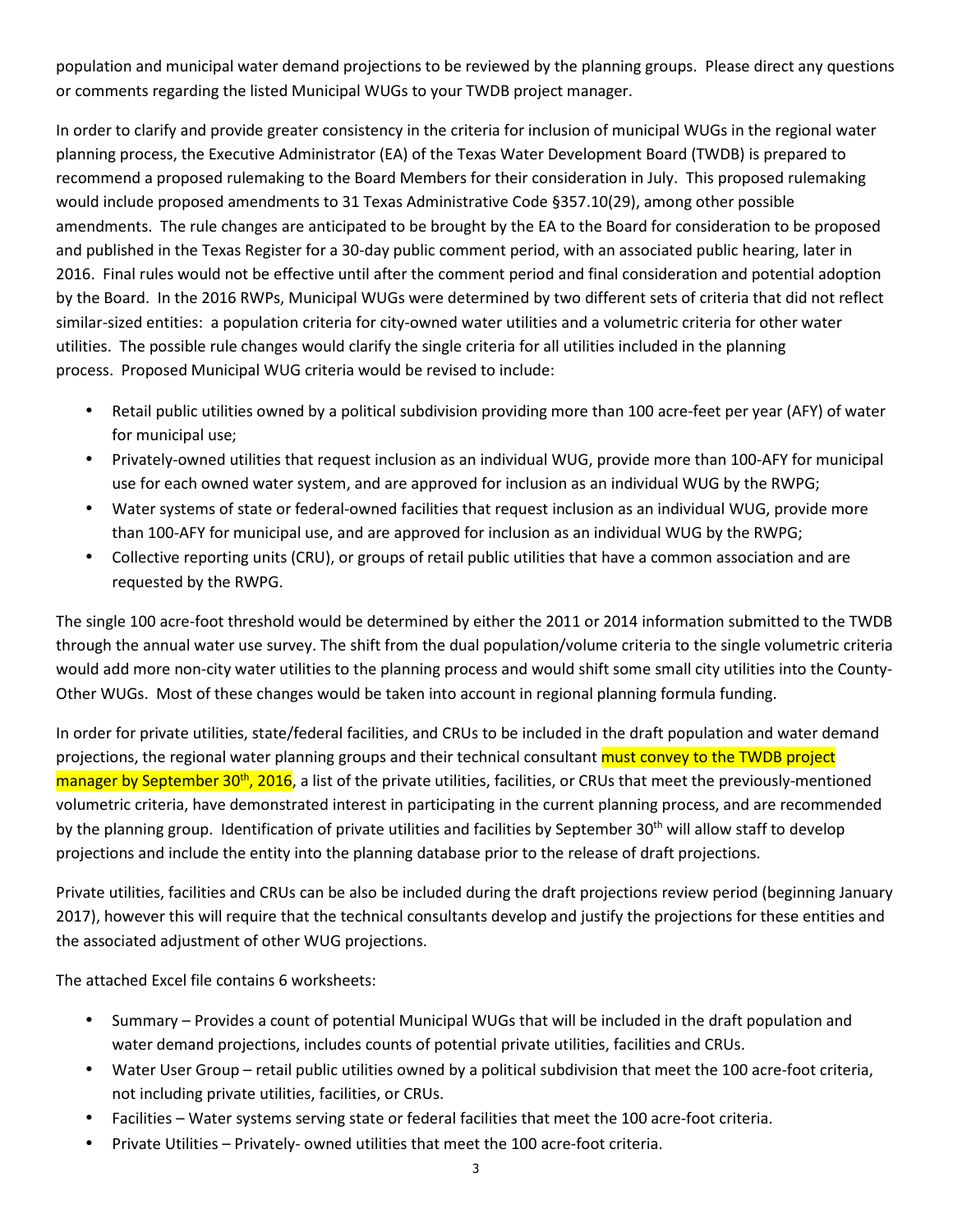population and municipal water demand projections to be reviewed by the planning groups. Please direct any questions or comments regarding the listed Municipal WUGs to your TWDB project manager.

In order to clarify and provide greater consistency in the criteria for inclusion of municipal WUGs in the regional water planning process, the Executive Administrator (EA) of the Texas Water Development Board (TWDB) is prepared to recommend a proposed rulemaking to the Board Members for their consideration in July. This proposed rulemaking would include proposed amendments to 31 Texas Administrative Code §357.10(29), among other possible amendments. The rule changes are anticipated to be brought by the EA to the Board for consideration to be proposed and published in the Texas Register for a 30-day public comment period, with an associated public hearing, later in 2016. Final rules would not be effective until after the comment period and final consideration and potential adoption by the Board. In the 2016 RWPs, Municipal WUGs were determined by two different sets of criteria that did not reflect similar-sized entities: a population criteria for city-owned water utilities and a volumetric criteria for other water utilities. The possible rule changes would clarify the single criteria for all utilities included in the planning process. Proposed Municipal WUG criteria would be revised to include:

- Retail public utilities owned by a political subdivision providing more than 100 acre-feet per year (AFY) of water for municipal use;
- Privately-owned utilities that request inclusion as an individual WUG, provide more than 100-AFY for municipal use for each owned water system, and are approved for inclusion as an individual WUG by the RWPG;
- Water systems of state or federal-owned facilities that request inclusion as an individual WUG, provide more than 100-AFY for municipal use, and are approved for inclusion as an individual WUG by the RWPG;
- Collective reporting units (CRU), or groups of retail public utilities that have a common association and are requested by the RWPG.

The single 100 acre-foot threshold would be determined by either the 2011 or 2014 information submitted to the TWDB through the annual water use survey. The shift from the dual population/volume criteria to the single volumetric criteria would add more non-city water utilities to the planning process and would shift some small city utilities into the County-Other WUGs. Most of these changes would be taken into account in regional planning formula funding.

In order for private utilities, state/federal facilities, and CRUs to be included in the draft population and water demand projections, the regional water planning groups and their technical consultant must convey to the TWDB project  $m$ anager by September 30<sup>th</sup>, 2016, a list of the private utilities, facilities, or CRUs that meet the previously-mentioned volumetric criteria, have demonstrated interest in participating in the current planning process, and are recommended by the planning group. Identification of private utilities and facilities by September 30<sup>th</sup> will allow staff to develop projections and include the entity into the planning database prior to the release of draft projections.

Private utilities, facilities and CRUs can be also be included during the draft projections review period (beginning January 2017), however this will require that the technical consultants develop and justify the projections for these entities and the associated adjustment of other WUG projections.

The attached Excel file contains 6 worksheets:

- Summary Provides a count of potential Municipal WUGs that will be included in the draft population and water demand projections, includes counts of potential private utilities, facilities and CRUs.
- Water User Group retail public utilities owned by a political subdivision that meet the 100 acre-foot criteria, not including private utilities, facilities, or CRUs.
- Facilities Water systems serving state or federal facilities that meet the 100 acre-foot criteria.
- Private Utilities Privately- owned utilities that meet the 100 acre-foot criteria.